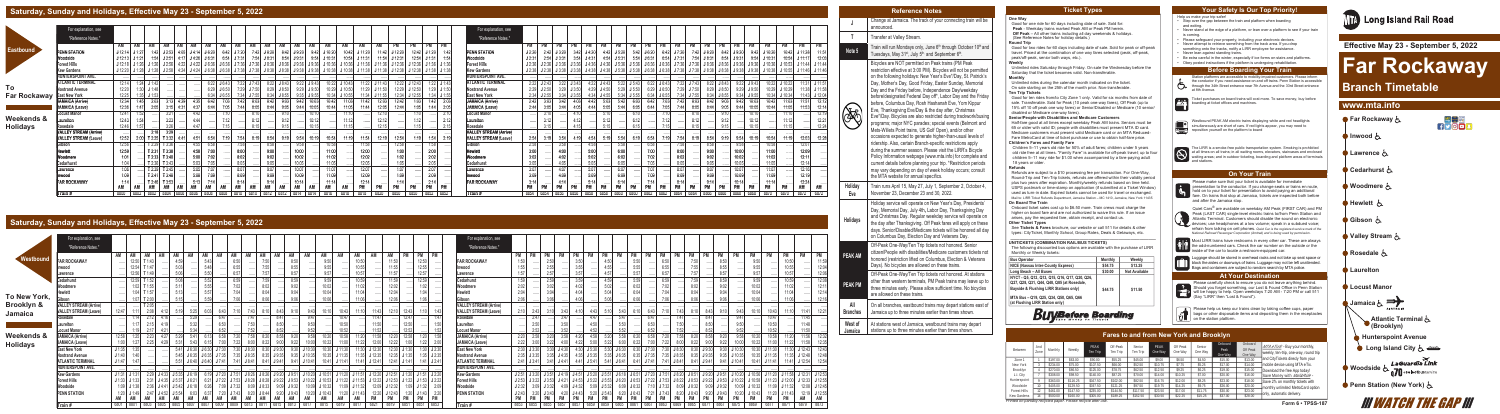#### **One Way**

Good for one ride for 60 days including date of sale. Sold for: **Peak** - Weekday trains marked Peak AM or Peak PM herein.  **Off Peak** – All other trains including all day weekends & holidays. (See Reference Notes for holiday details.)

#### **Round Trip**

Good for two rides for 60 days including date of sale. Sold for peak or off-peak travel. Priced at the combination of one way fares selected (peak, off-peak, peak/off-peak, senior both ways, etc.). **Weekly**

Unlimited rides Saturday through Friday. On sale the Wednesday before the Saturday that the ticket becomes valid. Non-transferable. **Monthly**

Unlimited rides during the calendar month indicated on the ticket. On sale starting on the 25th of the month prior. Non-transferable. **Ten Trip Tickets**

Good for ten rides from/to City Zone 1 only. Valid for six months from date of sale. Transferable. Sold for Peak (10 peak one-way fares), Off Peak (up to 15% off 10 off peak one way fares) or Senior/Disabled or Medicare (10 senior/ disabled or Medicare one-way fares).

#### **Senior/People with Disabilities and Medicare Customers**

Half-fare good at all times except weekday Peak AM trains. Seniors must be 65 or older with valid ID; people with disabilities must present MTA ID card. Medicare customers must present valid Medicare card or an MTA Reduced-Fare MetroCard at time of ticket purchase or use to obtain half-fare price.

#### **Children's Fares and Family Fare**

Children 5–11 years old ride for 50% of adult fares; children under 5 years old ride free at all times. "Family Fare" is available for off-peak travel; up to four children 5–11 may ride for \$1.00 when accompanied by a fare-paying adult 18 years or older. **Refunds**

Refunds are subject to a \$10 processing fee per transaction. For One-Way, Round-Trip and Ten-Trip tickets, refunds are offered within their validity period plus two years after expiration. Monthly/weekly refunds based on time held. USPS postmark or time-stamp on application (if submitted at a Ticket Window) used as turn-in date. Expired tickets cannot be used for travel or exchanged. Mail to: LIRR Ticket Refunds Department, Jamaica Station – MC 1410, Jamaica, New York 11435 **On Board The Train**

> Luggage should be stored in overhead racks and not take up seat space or **block the aisles or doorways of trains. Luggage may not be left unattended.** Bags and containers are subject to random search by MTA police.

Onboard ticket sales cost up to \$6.50 more. Train crews must charge the higher on board fare and are not authorized to waive this rule. If an issue arises, pay the requested fare, obtain receipt, and contact us.

#### **Other Ticket Types**

- Step over the gap between the train and platform when boarding and exiting.
- Never stand at the edge of a platform, or lean over a platform to see if your train is coming.
- Please safeguard your property, including your electronic devices.
- Never attempt to retrieve something from the track area. If you drop something onto the tracks, notify a LIRR employee for assistance.
- Never lean against standing trains.
- Be extra careful in the winter, especially if ice forms on stairs and platforms.
- Obey posted instructions if the platform is undergoing rehabilitation.

See **Tickets & Fares** brochure, our website or call 511 for details & other types: CityTicket, Monthly School, Group Rates, Deals & Getaways, etc. **\_\_\_\_\_\_\_\_\_\_\_\_\_\_\_\_\_\_\_\_\_\_\_\_\_\_\_\_\_\_\_\_\_\_\_\_\_\_\_\_\_\_\_\_\_\_\_\_\_\_\_\_\_\_\_\_\_\_\_\_\_\_\_**

#### **UNITICKETS (COMBINATION RAIL/BUS TICKETS)**

Ticket purchases on board trains will cost more. To save money, buy before<br>hoarding of ticket offices and mashines boarding at ticket offices and machines.

Westbound PEAK AM electric trains displaying white and red headlights simultaneously are short of cars. If red lights appear, you may need to reposition yourself on the platform to board





The LIRR is a smoke-free public transportation system. Smoking is prohibited<br>at all times on all trains; in all waiting rooms, elevators, staircases and enclosed<br>waiting areas; and in outdoor ticketing, boarding and platfo d stations.

The following discounted bus options are available with the purchase of LIRR Monthly or Weekly tickets:

| <b>Bus Operator</b>                                                                                                                   | Monthly | Weekly               |
|---------------------------------------------------------------------------------------------------------------------------------------|---------|----------------------|
| NICE (Nassau Inter-County Express)                                                                                                    | \$54.75 | \$13.25              |
| Long Beach - All Buses                                                                                                                | \$30.00 | <b>Not Available</b> |
| NYCT - Q5, Q12, Q13, Q15, Q16, Q17, Q20, Q26,<br>Q27, Q28, Q31, Q44, Q48, Q85 (at Rosedale,<br>Bayside & Flushing LIRR Stations only) | \$44.75 | \$11.50              |
| MTA Bus - Q19, Q25, Q34, Q50, Q65, Q66<br>(at Flushing LIRR Station only)                                                             |         |                      |
|                                                                                                                                       |         |                      |

**Buy Before Boarding** 

Please help us keep our trains clean by taking coffee cups, paper bags or other disposable items and depositing them in the receptacles on the station platform.

Please make sure that your ticket is available for immediate **presentation to the conductor. If you change seats or trains en route,** hold on to your ticket for presentation to avoid paying an additional l a l fare. On trains that stop at Jamaica, tickets are inspected both before and after the Jamaica stop.





**ALC** Most LIRR trains have restrooms in every other car. These are always the odd-numbered cars. Check the car number on the outside or the<br>inside of the car to locate a restroom-equipped car.



Help us make your trip safer!

Station platforms are accessible to mobility-impaired customers. Please inform the conductor if you need assistance on and off trains. Penn Station is accessible through the 34th Street entrance near 7th Avenue and the 33rd Street entrance at 8th Avenue.



| Between                                                        | And<br>Zone | Monthly     | Weekly   | PFAK<br>Ten Trip | Off-Peak<br>Ten Trip | Senior<br>Ten Trip | PFAK<br>One Wav | Off Peak<br>One Wav | Senior<br>One Way | Onboard<br>Peak<br>One Way | Onboard<br>Off Peak<br>One Way | $MTA$ eTix® - Buy your monthly,<br>weekly, ten-trip, one-way, round trip |
|----------------------------------------------------------------|-------------|-------------|----------|------------------|----------------------|--------------------|-----------------|---------------------|-------------------|----------------------------|--------------------------------|--------------------------------------------------------------------------|
| Zone <sup>-</sup>                                              |             | \$197.00    | \$63.00  | \$90.00          | \$55.25              | \$45.00            | \$9.00          | \$6.50              | \$4.50            | \$15.00                    | \$13.00                        | and CityTickets direcly from your                                        |
| New York                                                       |             | \$234.00    | \$75.00  | \$107.50         | \$66.00              | \$52.50            | \$10.75         | \$7.75              | \$5.25            | \$17.00                    | \$14.00                        | mobile device using MTA eTix.                                            |
| Brooklyn                                                       |             | \$270.00    | \$86.50  | \$125.00         | \$78.75              | \$62.50            | \$12.50         | \$9.25              | \$6.25            | \$19.00                    | \$15.00                        | Download the free App today!                                             |
| L.I. City                                                      |             | \$308.00    | \$98.50  | \$140.00         | \$87.25              | \$70.00            | \$14.00         | \$10.25             | \$7.00            | \$20.00                    | \$16.00                        | Save Money with Mail&Ride -                                              |
| Hunterspoint                                                   |             | \$363.00    | \$116.25 | \$167.50         | \$102.00             | \$82.50            | \$16.75         | \$12.00             | \$8.25            | \$23.00                    | \$18.00                        | Save 2% on monthly tickets with                                          |
| Woodside                                                       |             | \$405.00    | \$129.50 | \$197.50         | \$121.25             | \$97.50            | \$19.75         | \$14.25             | \$9.75            | \$26.00                    | \$20.00                        | monthly unlimited MetroCard option                                       |
| Forest Hills                                                   |             | 00<br>\$461 | \$147.50 | \$235.00         | \$144.50             | \$117.50           | \$23.50         | \$17.00             | \$11.75           | \$30.00                    | \$23.00                        |                                                                          |
| Kew Gardens                                                    |             | \$500.00    | \$160.00 | \$305.00         | \$189.25             | \$152.50           | \$30.50         | \$22.25             | \$15.25           | \$37.00                    | \$28.00                        | only, automatic delivery.                                                |
| Printed on partially recycled paper. Please recycle after use. |             |             |          |                  |                      |                    |                 |                     |                   |                            |                                | Form $6 \cdot TPSS-18$                                                   |

Please carefully check to ensure you do not leave anything behind. **Prease carefully crieck to critically you do not leave any since 2**<br>Should you forget something, our Lost & Found Office in Penn Station will be happy to help. Open weekdays 7:20 AM - 7:20 PM or call 511 (Say "LIRR" then "Lost & Found").



#### **Ticket Types Your Safety Is Our Top Priority!**

#### **At Your Destination**

#### **Before Boarding Your Train**

#### **On Your Train**

# **Fares to and from New York and Brooklyn**

three minutes early. Please allow sufficient time. No bicycles

are allowed on these trains. **All Branches** On all branches, eastbound trains may depart stations east of Jamaica up to three minutes earlier than times shown.

**West of Jamaica** At stations west of Jamaica, westbound trains may depart stations up to three minutes earlier than times shown.

 **Effective May 23 - September 5, 2022**

# **Far Rockaway**

# **Branch Timetable**

# **www.mta.info**

# **Saturday, Sunday and Holidays, Effective May 23 - September 5, 2022**

|                     | For explanation, see          |                    |       |                   |                                                                      |      |                    |        |       |                 |          |        |                   |                 |       |         |                     |           |           |           |               |           |               |           | For explanation, see          |           |                                                                |           |                     |                   |           |                 |                        |                 |               |             |                      |                   |                                                                        |                |               |           |               |
|---------------------|-------------------------------|--------------------|-------|-------------------|----------------------------------------------------------------------|------|--------------------|--------|-------|-----------------|----------|--------|-------------------|-----------------|-------|---------|---------------------|-----------|-----------|-----------|---------------|-----------|---------------|-----------|-------------------------------|-----------|----------------------------------------------------------------|-----------|---------------------|-------------------|-----------|-----------------|------------------------|-----------------|---------------|-------------|----------------------|-------------------|------------------------------------------------------------------------|----------------|---------------|-----------|---------------|
|                     |                               |                    |       |                   |                                                                      |      |                    |        |       |                 |          |        |                   |                 |       |         |                     |           |           |           |               |           |               |           |                               |           |                                                                |           |                     |                   |           |                 |                        |                 |               |             |                      |                   |                                                                        |                |               |           |               |
|                     | "Reference Notes."            |                    |       |                   |                                                                      |      |                    |        |       |                 |          |        |                   |                 |       |         |                     |           |           |           |               |           |               |           | "Reference Notes."            |           |                                                                |           |                     |                   |           |                 |                        |                 |               |             |                      |                   |                                                                        |                |               |           |               |
| Eastbound           |                               | AM                 | AM    |                   | AM                                                                   | AM   | AM                 | AM     | AM    | AM              | AM<br>AM | AM     |                   | AM              | AM    | AM      | AM                  |           |           | PM        | PM            | <b>PM</b> |               | PN        |                               | PM        | <b>PM</b>                                                      | <b>PM</b> | <b>PM</b>           |                   | PM        | PM              | <b>PM</b>              | PM              | <b>PM</b>     | PM          | PM                   |                   | PM                                                                     |                | PM            | <b>PM</b> |               |
|                     | <b>PENN STATION</b>           | J 12:14            | J1:27 | 1:42              | J2:53                                                                | 4:05 | $J$ 4:14           | J 6:20 |       | J7:20           | 7:42     | J 8:20 | 8:42              | J9:20           | 9:42  |         | 10:42               |           | 11:42     | J 12:20   |               | 12:42     | J 1:20        |           | <b>PENN STATION</b>           | J2:20     |                                                                |           |                     | $J$ 4:20          |           | J 5:20          | 5:42                   | J 6:20          | J7:20<br>6:42 | 7:42        |                      | 8:42              | J9:20                                                                  | 9:42           |               |           |               |
|                     | Woodside                      | $J 12:13$ $J 1:21$ |       | 1:54              | J2:51                                                                |      | $J$ 4:26 $J$ 6:31  |        | 6:54  | J7:31           | 7:54     | J8:31  | 8:54              | J 9:31          | 9:54  |         | 10:54               | J 11:31   | 11:54     |           |               | 12:54     | J 1:31        | 1:54      | Woodside                      | J2:31     | 2:54                                                           | J3:31     | 3:54                | J4:31             | 4:54      | J 5:31          | 5:54                   | J6:31           | 6:54<br>J7:31 | 7:54        | J8:31                | 8:54              | J9:31                                                                  | 9:54           |               | 144.47    |               |
|                     | <b>Forest Hills</b>           | J 12:18            |       | $J 1:26$ $J 1:26$ | J2:56                                                                |      | 4:22 J 4:22 J 6:36 |        | J6:36 | $J7:36$ $J7:36$ |          | J8:36  | J 8:36            | J9:36           | J9:36 | J 10:36 | $J 10:36$ $J 11:36$ |           |           |           |               |           |               |           | <b>Forest Hills</b>           | J2:36     |                                                                |           | J3:36               | $J$ 4:36 $J$ 4:36 |           | J 5:36          | J 5:36                 | J6:36<br>J6:36  |               |             | J 7:36 J 7:36 J 8:36 | $J 8:36$ $J 9:36$ | J9:36                                                                  | J 10:36        |               |           |               |
|                     | <b>Kew Gardens</b>            |                    |       |                   | J 12:20 J 1:28 J 1:28 J 2:58 4:24 J 4:24 J 6:38 J 6:38 J 7:38 J 7:38 |      |                    |        |       |                 |          | J8:38  | $J 8:38$ $J 9:38$ |                 | J9:38 | J 10:38 | $J 10:38$ $J 11:38$ |           | J 11:38   |           |               |           |               |           | <b>Kew Gardens</b>            |           | $J$ 2:38 $J$ 2:38 $J$ 3:38 $J$ 3:38 $J$ 4:38 $J$ 4:38 $J$ 5:38 |           |                     |                   |           |                 |                        |                 |               |             |                      |                   | J 5:38 J 6:38 J 6:38 J 7:38 J 7:38 J 8:38 J 8:38 J 9:38 J 9:38 J 10:38 |                | J 10:55       |           | 11:46 J 11:46 |
|                     | HUNTERSPOINT AVE.             |                    |       |                   |                                                                      |      |                    |        |       |                 |          |        |                   |                 |       |         |                     |           |           |           |               |           |               |           | HUNTERSPOINT AVE.             |           |                                                                |           |                     |                   |           |                 |                        |                 |               |             |                      |                   |                                                                        |                |               |           |               |
|                     | <b>ATLANTIC TERMINAL</b>      | 12:14              |       | $1:24$ J 1:42     |                                                                      |      |                    | 6:22   | J6:43 | 7:22 J 7:43     |          | 8:22   | J8:43             | $9:22$ J $9:43$ |       |         | 10:22 J 10:43       | 11:22     | J 11:43   |           | 12:22 J 12:43 |           | 1:22 $J 1:43$ |           | <b>ATLANTIC TERMINAL</b>      |           | $2:22$ J 2:43                                                  | 3:22      | J3:43               | $4:22$ J 4:43     |           | $5:22$ J $5:43$ |                        | $6:22$ J $6:43$ |               | 7:22 J 7:43 |                      | 8:22 J 8:43       | $9:22$ J $9:43$                                                        |                | 10:22 J 10:22 |           |               |
| To                  | <b>Nostrand Avenue</b>        | 12:20              | 1:30  |                   |                                                                      | .    |                    | 6:29   |       | 7:29            | J7:50    | 8:29   | J 8:50            | 9:29            |       |         | J 10:50             |           | J 11:50   | 12:29     |               |           | $1:29$ J 1:50 |           | <b>Nostrand Avenue</b>        | 2:29      | J2:50                                                          | 3:29      | J3:50               | 4:29              | J4:50     |                 | J 5:50                 |                 | 7:29          | J7:50       |                      | J 8:50            | 9:29<br>J9:50                                                          | 10:29          |               | 1:38      | J 11:58       |
| <b>Far Rockaway</b> | <b>East New York</b>          | 12:25              |       |                   |                                                                      |      |                    | 5:34   | J6:55 | 7:34 J 7:55     |          | 8:34   | J8:55             | 9:35            | J9:55 |         | 10:34 J 10:55       |           | $J$ 11:55 |           |               |           |               | J 1:55    | <b>East New York</b>          |           | $2:34$ J 2:55                                                  |           | J3:55               | $4:34$ J 4:55     |           |                 | J 5:55                 | J6:55           |               | 7:34 J 7:55 |                      | J8:55             | J9:55<br>9:34                                                          |                | 10:34 J 10:34 |           | J 12:04       |
|                     | <b>JAMAICA (Arrive)</b>       | 12:34              |       | 2:03              |                                                                      | 4:29 | 4:35               |        |       |                 |          | 8:42   | 9:03              | 9:42            |       |         | 11:03               |           |           |           |               |           |               | 2:03      | <b>JAMAICA (Arrive)</b>       | 2:42      |                                                                | 3.42      |                     | 4:42              |           |                 | 6:03                   | 6:42            | 7:42          | 8:03        |                      | 9:03              | 9:42                                                                   |                |               |           |               |
|                     | <b>JAMAICA (Leave)</b>        | 12:36              | 1:47  | 2:05              |                                                                      | 4:31 | 4:37               | 6:44   | 7:05  | 7:44            | 8:05     | 8:44   | 9:05              | 9:44            |       | 10:44   | 11:05               | 11:44     | 12:05     | 12:44     |               |           | 1:44          | 2:05      | <b>JAMAICA</b> (Leave)        | 2:44      | 3:05                                                           | 3:44      |                     | 4:44              | 5:05      |                 | 6:05                   | 6:44            | 7:44          | 8:05        | 8.44                 | 9:05              | 9:44                                                                   | 10:05<br>10:44 |               | 1:53      |               |
|                     | <b>Locust Manor</b>           | 12:41              | 1:52  |                   | 3:21                                                                 |      | 4:42               |        | 7:10  |                 | 8:10     |        | 9:10              |                 |       |         | 11:10               |           | 12:10     |           |               |           |               | 2:10      | <b>Locust Manor</b>           | $\cdots$  | 3:10                                                           |           | $4:10$ <sup>1</sup> |                   | 5:10      |                 | 6:10                   |                 |               | 8:10        |                      | 9:10              | 10:10                                                                  |                | 11:10         |           | 12:19         |
| Weekends &          | Laurelton                     | 12:43              |       |                   | 3:23                                                                 |      |                    |        |       |                 |          |        |                   |                 |       |         |                     |           | 12:12     |           |               |           |               | 2:12      | Laurelton                     |           | 2.10                                                           |           |                     |                   |           |                 |                        |                 |               |             |                      | 9:12              |                                                                        |                | 11:12         |           | 12:21         |
| <b>Holidays</b>     | Rosedale                      | 12:46              | 1:57  |                   | 3:26                                                                 |      |                    |        |       |                 |          |        |                   |                 |       |         |                     |           | 12:15     |           |               |           |               | 2:15      | Rosedale                      |           | 3:15                                                           |           |                     |                   |           |                 | 6:15                   |                 |               |             |                      | 9.15              |                                                                        |                |               |           | 12:24         |
|                     | <b>VALLEY STREAM (Arrive)</b> |                    |       | 2:18              | 3:29                                                                 |      |                    |        |       |                 |          |        |                   |                 |       |         |                     |           |           |           |               |           | .             |           | <b>VALLEY STREAM (Arrive)</b> |           |                                                                |           |                     |                   |           |                 |                        |                 | .             |             |                      |                   |                                                                        |                |               |           |               |
|                     | <b>VALLEY STREAM (Leave)</b>  | 12:52              |       | T2:25             | T3:32                                                                | 4.41 |                    | 6:54   | 7.19  | 7:54            |          | 8:54   |                   | 9.54            |       | 10:54   | 44.40               | 11:54     | 12:19     | 12:54     |               |           | 1:54          |           | <b>VALLEY STREAM (Leave)</b>  | 2:54      | 2.10                                                           | 3:54      |                     | 4:54              |           |                 | 6.19                   | 6.54            | 7:54          |             | 8:54                 | 9.19              | 9:54                                                                   | 10:54          |               |           |               |
|                     | Gibson                        | 12:56              |       |                   | T 2:29 T 3:36                                                        |      | 4:55               | 6:58   |       | 7:58            |          | 8:58   |                   | 9:58            |       | 10:58   |                     | 11:58     |           | 12:58     |               |           | 1:58          |           | Gibson                        | 2:58      |                                                                | 3:58      |                     | 4:58              |           | 5:58            |                        | 6:58            | 7:58          |             | 8:58                 |                   | 9:58                                                                   | 10:58          |               | 12:07     |               |
|                     | lewlett                       | 12:59              |       | T2:31             | T 3:38                                                               |      | 4:58               | 7:00   |       | 8:00            |          | 9:00   |                   | 10:00           |       | 11:00   |                     | 12:00     |           |           |               |           | 2:00          |           | <b>Hewlett</b>                | 3:00      |                                                                |           |                     | 5:00              |           | 6:00            |                        |                 | 8:00          |             | 9.00                 |                   | 10:00                                                                  | 11:00          |               | 12:09     |               |
|                     | Woodmere                      | 1:01               |       |                   | T 2:33 T 3:40                                                        |      | 5:00               | 7:02   |       | 8:02            |          | 9:02   |                   | 10:02           |       | 11:02   |                     | 12:02     |           |           |               |           | 0.01<br>Z.UZ  |           | Woodmere                      | 3:02      |                                                                |           |                     | 5:02              |           |                 |                        | 7:02            | 8:02          |             |                      |                   | 10.02<br> U.UZ                                                         | 11:02          |               | 12:11     |               |
|                     | Cedarhurst                    | 1:04               |       | T 2:36            | T3:43                                                                |      | 5:03               | 7:05   |       | 8:05            |          | 9:05   |                   | 10:05           |       | 11:05   |                     | 12:05     |           |           |               |           | 2:05          |           | Cedarhurst                    | 3:05      |                                                                | 4:05      |                     | 5:05              |           |                 |                        | 7:05            | 8:05          |             | 9:05                 |                   | 10:05                                                                  | 11:05          |               | 12:14     |               |
|                     | Lawrence                      | 1:06               |       |                   | T 2:39 T 3:45                                                        |      | 5:05               | 7:07   |       | 8:07            |          | 9:07   |                   | 10:07           |       | 11:07   |                     | 12:07     |           |           |               |           | 2:07          |           | Lawrence                      | 3:07      |                                                                | 4:07      |                     | 5:07              |           | 6:07            |                        | 7.07<br>1.01    | 8:07          |             | 9:07                 |                   | 10:07                                                                  |                |               | 12:16     |               |
|                     | Inwood                        | 1:09               |       | T2:41             | T 3:48                                                               |      | 5:08               | 7:09   |       | 8:09            |          | 9:09   |                   | 10:09           |       | 11:09   |                     | 12:09     |           |           |               |           | 2:09          |           | Inwood                        | 3:09      |                                                                |           |                     | 5:09              |           | 6:09            |                        | 7:09            | 8:09          |             | 9:09                 | .                 | 10:09                                                                  | 11:09          |               | 12:19     |               |
|                     | <b>FAR ROCKAWAY</b>           | 1:14               |       | T2:46             | 3:53                                                                 |      | 5:13               |        |       |                 |          |        |                   | 10:14           |       |         |                     | 12:14     |           |           |               |           |               |           | <b>FAR ROCKAWAY</b>           | 3:14      |                                                                |           |                     | 5:14              |           |                 |                        |                 | 8:14          |             |                      |                   | 10:14                                                                  |                |               | 12:24     |               |
|                     |                               | AM                 | AM    |                   | ΔM                                                                   | AM   | ΑM                 | AM     |       | AM              | AM<br>AM | AM     |                   | AM              |       | AM      | AM                  | <b>PM</b> |           | <b>PM</b> | <b>PM</b>     | <b>PM</b> |               | <b>PM</b> |                               | <b>PM</b> | <b>PM</b>                                                      | <b>PM</b> | <b>PM</b>           |                   | <b>PM</b> | <b>PM</b>       | <b>PM</b><br><b>PM</b> | <b>PM</b>       | <b>PM</b>     | PM          | <b>PM</b>            | PN                | <b>PM</b><br><b>PM</b>                                                 | <b>PM</b>      | <b>PM</b>     | AM        | AM            |
|                     | Train#                        | 8800               | 6802  |                   | 8804                                                                 | 6806 | 8806               |        | 6808  |                 |          |        |                   | 6814            |       |         |                     |           |           | 8850      | 6850          | 8852      |               | 6852      | Train#                        | 8854      | 6854                                                           | 8856      |                     | 8858              | 6858      |                 |                        | 6862            |               |             |                      | 6866              | 6868<br>8868                                                           | 8870           | 6870          |           | 6872          |

|                 | <b>Reference Notes</b>                                                                                                                                                                                                                                                                                                                                                                                                                                                                                                                                                                                                                                                                                                                                                                                                                                                                                                                                                                                                                                                                                             |
|-----------------|--------------------------------------------------------------------------------------------------------------------------------------------------------------------------------------------------------------------------------------------------------------------------------------------------------------------------------------------------------------------------------------------------------------------------------------------------------------------------------------------------------------------------------------------------------------------------------------------------------------------------------------------------------------------------------------------------------------------------------------------------------------------------------------------------------------------------------------------------------------------------------------------------------------------------------------------------------------------------------------------------------------------------------------------------------------------------------------------------------------------|
| J               | Change at Jamaica. The track of your connecting train will be<br>announced.                                                                                                                                                                                                                                                                                                                                                                                                                                                                                                                                                                                                                                                                                                                                                                                                                                                                                                                                                                                                                                        |
| Т               | Transfer at Valley Stream.                                                                                                                                                                                                                                                                                                                                                                                                                                                                                                                                                                                                                                                                                                                                                                                                                                                                                                                                                                                                                                                                                         |
| Note 5          | Train will run Mondays only, June 6th through October 10th and<br>Tuesdays, May 31 <sup>st</sup> , July 5 <sup>th,</sup> and September 6 <sup>th</sup> .                                                                                                                                                                                                                                                                                                                                                                                                                                                                                                                                                                                                                                                                                                                                                                                                                                                                                                                                                           |
|                 | Bicycles are NOT permitted on Peak trains (PM Peak<br>restriction effective at 3:00 PM). Bicycles will not be permitted<br>on the following holidays: New Year's Eve*/Day, St. Patrick's<br>Day, Mother's Day, Good Friday, Easter Sunday, Memorial<br>Day and the Friday before, Independence Day/weekday<br>before/designated Federal Day off*, Labor Day and the Friday<br>before, Columbus Day, Rosh Hashanah Eve, Yom Kippur<br>Eve, Thanksgiving Eve/Day & the day after, Christmas<br>Eve*/Day. Bicycles are also restricted during trackwork/busing<br>programs; major NYC parades; special events (Belmont and<br>Mets-Willets Point trains, US Golf Open), and/or other<br>occasions expected to generate higher-than-usual levels of<br>ridership. Also, certain Branch-specific restrictions apply<br>during the summer season. Please visit the LIRR's Bicycle<br>Policy Information webpage (www.mta.info) for complete and<br>current details before planning your trip. *Restriction periods<br>may vary depending on day of week holiday occurs; consult<br>the MTA website for annual specifics. |
| Holiday<br>Eve  | Train runs April 15, May 27, July 1, September 2, October 4,<br>November 23, December 23 and 30, 2022.                                                                                                                                                                                                                                                                                                                                                                                                                                                                                                                                                                                                                                                                                                                                                                                                                                                                                                                                                                                                             |
| <b>Holidays</b> | Holiday service will operate on New Year's Day, Presidents'<br>Day, Memorial Day, July 4th, Labor Day, Thanksgiving Day<br>and Christmas Day. Regular weekday service will operate on<br>the day after Thanksgiving. Off Peak fares will apply on these<br>days. Senior/Disabled/Medicare tickets will be honored all day<br>on Columbus Day, Election Day and Veterans Day.                                                                                                                                                                                                                                                                                                                                                                                                                                                                                                                                                                                                                                                                                                                                       |
| <b>PEAK AM</b>  | Off-Peak One-Way/Ten Trip tickets not honored. Senior<br>citizen/People with disabilities/Medicare customers tickets not<br>honored (restriction lifted on Columbus, Election & Veterans<br>Days). No bicycles are allowed on these trains.                                                                                                                                                                                                                                                                                                                                                                                                                                                                                                                                                                                                                                                                                                                                                                                                                                                                        |
| <b>PEAK PM</b>  | Off-Peak One-Way/Ten Trip tickets not honored. At stations<br>other than western terminals, PM Peak trains may leave up to<br>than a subscribed dealer. Display allows arrifficient times. No historylas                                                                                                                                                                                                                                                                                                                                                                                                                                                                                                                                                                                                                                                                                                                                                                                                                                                                                                           |

# **Saturday, Sunday and Holidays, Effective May 23 - September 5, 2022**

|                       | For explanation, see          |        |                   |                              |      |           |              |                   |       |                                                                                                |        |       |       |                |         |               |                    |           |           |        |        |               | For explanation, see          |           |               |               |                                                                                  |               |                 |           |       |       |                                                                                                                 |        |       |           |           |         |               |       |                                                             |       |
|-----------------------|-------------------------------|--------|-------------------|------------------------------|------|-----------|--------------|-------------------|-------|------------------------------------------------------------------------------------------------|--------|-------|-------|----------------|---------|---------------|--------------------|-----------|-----------|--------|--------|---------------|-------------------------------|-----------|---------------|---------------|----------------------------------------------------------------------------------|---------------|-----------------|-----------|-------|-------|-----------------------------------------------------------------------------------------------------------------|--------|-------|-----------|-----------|---------|---------------|-------|-------------------------------------------------------------|-------|
|                       | "Reference Notes."            |        |                   |                              |      |           |              |                   |       |                                                                                                |        |       |       |                |         |               |                    |           |           |        |        |               | "Reference Notes."            |           |               |               |                                                                                  |               |                 |           |       |       |                                                                                                                 |        |       |           |           |         |               |       |                                                             |       |
| Westbound             |                               | AM     | AM                | AM<br>AM                     | AM   | <b>AM</b> | AM           | AM                | AM    | AM                                                                                             | AM     | AM    | AM    | ΔM             | AM      |               |                    |           |           | PM     | PM     | PM            |                               | PM        |               | PM            | <b>PM</b><br><b>PM</b>                                                           | <b>PM</b>     | PM              | <b>PM</b> | PM    | PM    | PM<br>PM                                                                                                        | PM     | PM    | <b>PM</b> | PN        |         |               |       |                                                             | PM    |
|                       | <b>FAR ROCKAWAY</b>           |        | 12:50             | T 1:43                       |      | 4:59      | 5:43         |                   | 6:50  |                                                                                                | 7:50   |       | 8:50  |                | 9:50    |               | 10:50 <sub>1</sub> |           | 11:50     |        | 12:50  |               | <b>FAR ROCKAWAY</b>           | 1:50      |               | 2:50          |                                                                                  |               | 4:50            |           | 5:50  |       | 6:50                                                                                                            | 7:50   |       | 8:50      |           |         |               | 10:50 |                                                             | 11:59 |
|                       | <b>Ilnwood</b>                |        | 12:54             | T1:47                        |      | 5:03      | 5:48         |                   | 6:55  |                                                                                                | 7:55   |       | 8:55  |                | 9:55    |               | 10:55              |           | 11:55     |        | 12:55  |               | Inwood                        | 1:55      |               | 7.55<br>L.JJ  |                                                                                  | 3:55          | 4:55            |           | 5:55  |       | 6:55                                                                                                            | 7:55   |       | 8:55      |           |         |               | 10:55 |                                                             | 12:04 |
|                       | <b>Lawrence</b>               |        | 12:56             | T1.49                        |      | 5:06      | 5:50         |                   | 6:57  |                                                                                                | 7:57   |       | 8:57  |                | 9:57    |               | 10:57              |           | 11:57     |        | 12:57  |               | Lawrence                      | 1:57      |               | 2:57          |                                                                                  | 3:57          | 4:57            |           | 5:57  |       | 6:57                                                                                                            | 7:57   |       | 8:57      |           |         |               | 10:57 |                                                             | 12:06 |
|                       | Cedarhurst                    |        | 12:59             | T 1:52                       |      | 5:08      | 5:52         |                   | 6:59  |                                                                                                | 7:59   |       | 8:59  |                | 9:59    |               | 10:59              |           | 11:59     |        | 12:59  |               | <b>Cedarhurst</b>             | 1:59      |               | 2:59          |                                                                                  | 3:59          | 4:59            |           | 5:59  |       | 6:59<br>                                                                                                        | 7:59   |       | 8:59      |           | 9:59    |               | 10:59 |                                                             | 12:08 |
|                       | Noodmere                      |        | 1:02              | T 1:55                       |      | 5:11      | 5:55         |                   | 7:02  |                                                                                                | 8:02   |       | 9:02  |                | 10:02   |               | 11:02              |           | 12:02     |        | 1:02   |               | Woodmere                      | 2:02      |               |               |                                                                                  |               | 5:02            |           | 6:02  |       |                                                                                                                 |        |       | 9:02      |           |         |               | 11:02 |                                                             | 12:11 |
|                       | Hewlett                       |        | 1:04              | T 1:57                       |      | 5:13      | 5:57         |                   | 7:04  |                                                                                                | 8:04   |       | 9:04  |                | 10:04   |               | 11:04              |           | 12:04     |        |        |               | <b>Hewlett</b>                | 2:04      |               | 2.0           |                                                                                  |               | 5:04            |           | 6:04  |       |                                                                                                                 |        |       | 9:04      |           |         |               |       |                                                             | 12:14 |
| To New York,          | Gibson                        |        | 1:07              |                              |      | 5:15      | 5:59         |                   |       |                                                                                                |        |       | 9:06  |                | 10:06   |               | 11:06              |           | 12:06     |        |        |               | Gibson                        | 2:06      |               |               |                                                                                  |               | 5:06            |           |       |       |                                                                                                                 |        |       | 9:06      |           |         |               |       |                                                             | 12:16 |
| <b>Brooklyn &amp;</b> | <b>VALLEY STREAM (Arrive)</b> |        |                   | T 2:05                       |      |           |              |                   |       |                                                                                                |        |       |       |                |         |               |                    |           |           |        |        | .             | <b>VALLEY STREAM (Arrive)</b> |           |               |               |                                                                                  |               |                 |           |       |       |                                                                                                                 |        |       |           |           |         |               |       |                                                             |       |
| Jamaica               | <b>VALLEY STREAM (Leave)</b>  | 12:47  |                   |                              |      |           |              |                   |       |                                                                                                |        |       |       | 9.43           | 10.10   | 10:43         | 11.10              | 11:43     | 12.10     | 12:43  |        | 1:43          | <b>VALLEY STREAM (Leave)</b>  | 2:10      |               |               |                                                                                  |               |                 | 5:43      |       | 6:43  | 7:43                                                                                                            |        | 8:43  |           |           |         |               |       |                                                             | 12:21 |
|                       | Rosedale                      | . 1    | 1:14              | 2:12                         |      |           | 5:29         | 6:47              |       | 7:47                                                                                           |        | 8:47  |       | 9:47           |         | 10:47         |                    | 11:47     |           | 12:47  |        | 1:47          | Rosedale                      | .         | 2:47          |               | 3:47                                                                             | 4:47          |                 | 5:47      |       | 6:47  | 7:47                                                                                                            |        | 8:47  |           |           |         | 10:47         |       | 11:45                                                       |       |
|                       | Laurelton                     |        |                   | 2:15                         |      |           | 5:32         | 6:50              |       | 7:50                                                                                           |        | 8:50  |       | 9:50           |         | 10:50         |                    |           |           | 12:50  |        | 1:50          | Laurelton                     |           | 2:50          |               | 3:50                                                                             | 4:50          |                 | 5:50      |       | 6:50  | 7:50                                                                                                            |        | 8:50  |           |           |         |               |       | 11:48                                                       |       |
|                       | <b>Locust Manor</b>           |        |                   |                              |      |           | 5.31         |                   |       |                                                                                                |        |       |       |                |         | 10:52         |                    |           |           | 12.52  |        | 1:52          | <b>Locust Manor</b>           |           | 2:52          |               | 3:5'                                                                             |               |                 |           |       |       |                                                                                                                 |        |       |           |           |         |               |       |                                                             |       |
| Weekends &            | <b>AMAICA (Arrive)</b>        | 12:58  |                   |                              |      | 5:29      | 5:41         | 6:58              |       | 7:58                                                                                           | 8:20   | 8:58  | 9:20  | 9:58           | 10:20   | 10:58         | 11:20              |           |           |        |        | 1:58          | <b>JAMAICA (Arrive)</b>       |           | 2:58          |               | 3:58                                                                             |               | 4:58            | 5:58      | 6:20  | 6:58  | 7:58                                                                                                            | 8:20   | 8:58  |           |           |         |               |       |                                                             | 12:32 |
| <b>Holidays</b>       | JAMAICA (Leave)               | 1:00   | 1:27              | 2:25                         | 4:29 | 5:31      | 6:15<br>5:43 | 7:00              | 7:22  |                                                                                                | 8:22   |       | 9:22  | 10:00          | 10:22   |               | 11:22              |           | 2:22      |        |        | 2:00          | <b>JAMAICA (Leave)</b>        | 2:22      | 3:00          |               | 4:00                                                                             | 4:22          | 5:22            |           | 6:22  |       | 8:00<br>7:22                                                                                                    | 8:22   |       | 9:22      |           |         |               |       |                                                             | 12:35 |
|                       | <b>East New York</b>          | J 1:35 |                   |                              |      | 5:41      | J 6:30       |                   |       | J 8:30                                                                                         | 8:30   |       |       | $9:30$ J 10:30 |         | 10:30 J 11:30 | 11:30 J 12:30      |           |           |        |        |               | <b>East New York</b>          |           |               |               | J4:30                                                                            | J 5:30        |                 |           |       | J7:30 | J 8:30                                                                                                          |        | J9:30 |           | J 10:30   |         | J 11:30       | 11:30 | J 12:43                                                     | 12:43 |
|                       | <b>Nostrand Avenue</b>        | J 1:40 |                   |                              |      | 5:45      | J 6:35       | J7:35             |       | J8:35                                                                                          | 8:35   | J9:35 |       | $9:35$ J 10:35 | 10:35   | $J$ 11:35     | 11:35 J 12:35      |           |           | J 1:35 |        | 1:35 J 2:35   | <b>Nostrand Avenue</b>        |           | J3:35         |               | J4:35                                                                            | J 5:35        |                 |           |       | J7:35 | J8:35                                                                                                           |        |       | 9:35      | J 10:35   |         | $J$ 11:35     |       | J 12:48                                                     | 12:48 |
|                       | <b>ATLANTIC TERMINAL</b>      | J 1:47 |                   |                              |      | 5:51      |              | $J 6:40$ $J 7:41$ |       | J 8:41                                                                                         | 8:41   | J9:41 | 9:41  | J 10:41        | 10:41   | J 11:41       | 11:41              | J12:41    | 12:41     | J1:41  |        | $1:41$ J 2:41 | <b>ATLANTIC TERMINAL</b>      |           | $2:41$ J 3:41 | $3:41$ J 4:41 |                                                                                  | $4:41$ J 5:41 | 5:41            | J6:41     | 6:41  | J7:41 | $7:41$ J 8:41                                                                                                   | 8:41   | J9:41 | 9:41      | J 10:41   |         |               |       | $J$ 12:54                                                   | 12:54 |
|                       | HUNTERSPOINT AVE.             |        |                   |                              |      |           |              |                   |       |                                                                                                |        |       |       |                |         |               |                    |           |           |        |        |               | HUNTERSPOINT AVE.             |           |               |               |                                                                                  |               |                 |           |       |       |                                                                                                                 |        |       |           |           |         |               |       |                                                             |       |
|                       | <b>Kew Gardens</b>            |        | $J 1:31$ $J 1:31$ | 2:29 $J4:33$ $J5:35$ $J6:19$ |      |           |              |                   |       | 6:19 J 7:20 J 7:51 J 8:26 J 8:26 J 9:20 J 9:51 J 10:20 J 10:51 J 11:20 J 11:51 J 12:20         |        |       |       |                |         |               |                    |           |           |        |        |               | <b>Kew Gardens</b>            |           |               |               | $J 2:51$ $J 3:20$ $J 3:51$ $J 4:19$ $J 4:51$ $J 5:20$ $J 5:51$ $J 6:18$ $J 6:51$ |               |                 |           |       |       | $J7:20$ $J7:51$ $J8:20$ $J8:51$ $J9:20$ $J9:51$ $J10:20$                                                        |        |       |           |           | J 10:56 |               |       | <b>J</b> 11:20 <b>J</b> 11:58 <b>J</b> 12:31 <b>J</b> 12:53 |       |
|                       | <b>Forest Hills</b>           |        | $J 1:33$ $J 1:33$ | 2:31 J 4:35 J 5:37 J 6:21    |      |           |              |                   |       | 6:21 J 7:22 J 7:53 J 8:28 J 8:28 J 9:22 J 9:53 J 10:22 J 10:53 J 11:22 J 11:53 J 12:22 J 12:53 |        |       |       |                |         |               |                    |           |           |        |        |               | <b>Forest Hills</b>           | J2:53     |               |               |                                                                                  |               |                 |           |       |       | J3:22 J3:53 J4:21 J4:53 J5:22 J5:53 J6:20 J6:53 J7:22 J7:53 J8:22 J8:53 J9:22 J9:53 J10:22 J10:58 J11:23 J12:00 |        |       |           |           |         |               |       | $J$ 12:33 $J$ 12:55                                         |       |
|                       | Woodside                      |        | $1:09$ J 1:38     | 2:36 $J4:41$ $J5:42$ $J6:18$ |      |           | 6:26         |                   | J7:32 |                                                                                                | J8:33  | 9:09  | J9:32 | 10:09          | J 10:32 | 11:09         | $J$ 11:32          | 12:09     | J 12:32   |        |        |               | Woodside                      | J2:32     | 3:09          | J3:32         | 4:09<br>J4:32                                                                    |               | $5:09$ J $5:32$ | 6:09      | J6:32 | 7:10  | J7:32<br>8:09                                                                                                   | J 8:32 | 9:09  | J9:32     | 10:09     | J 10:32 | 11:09 J 11:32 |       | 12:08 J 12:45                                               |       |
|                       | <b>PENN STATION</b>           |        | $1:20$ J $1:49$   | 2:47                         |      | J 5:54    |              |                   |       |                                                                                                | J 8:44 | 9:20  | J9:43 | 10:20          | J 10:43 |               |                    | 12:20     | $J$ 12:43 |        | J 1:43 | 2:20          | <b>PENN STATION</b>           | J2:43     | 3:20          | J3:43         | 4:20                                                                             | 5:20          | J 5:43          |           | J6:43 |       | 8:20                                                                                                            | J8:43  | 9:20  | J9:43     |           |         | 11:20         |       | 12:19 J 12:55                                               |       |
|                       |                               |        | AM                | AM<br>AM                     |      |           | AM           |                   | AM    |                                                                                                |        | AM    |       |                |         |               |                    | <b>PM</b> |           |        | PM     | PM            |                               | <b>PM</b> |               | PM            | PN                                                                               | <b>PM</b>     | PM              | <b>PM</b> | PM    |       | PM                                                                                                              | PN     |       | <b>PM</b> | <b>PM</b> |         |               |       |                                                             | AM    |
|                       | Train#                        |        |                   | 8803<br>6805                 | 8805 |           |              |                   | 8809  |                                                                                                |        |       |       |                |         |               |                    | 6821      |           |        | 8851   | 6853          | Train#                        | 8853      | 6855          | 8855          | 6857                                                                             |               |                 | 6865      |       | 6867  | 8863<br>6869                                                                                                    |        |       | 8867      |           | 8869    | 6877          | 8871  | 8873                                                        |       |



**Form 6 • TPSS-187**